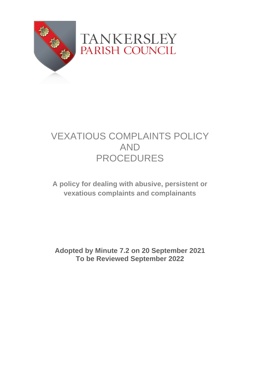

## VEXATIOUS COMPLAINTS POLICY AND PROCEDURES

**A policy for dealing with abusive, persistent or vexatious complaints and complainants**

**Adopted by Minute 7.2 on 20 September 2021 To be Reviewed September 2022**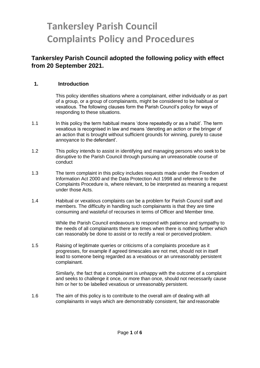# **Tankersley Parish Council Complaints Policy and Procedures**

## **Tankersley Parish Council adopted the following policy with effect from 20 September 2021.**

#### **1. Introduction**

This policy identifies situations where a complainant, either individually or as part of a group, or a group of complainants, might be considered to be habitual or vexatious. The following clauses form the Parish Council's policy for ways of responding to these situations.

- 1.1 In this policy the term habitual means 'done repeatedly or as a habit'. The term vexatious is recognised in law and means 'denoting an action or the bringer of an action that is brought without sufficient grounds for winning, purely to cause annoyance to the defendant'.
- 1.2 This policy intends to assist in identifying and managing persons who seek to be disruptive to the Parish Council through pursuing an unreasonable course of conduct
- 1.3 The term complaint in this policy includes requests made under the Freedom of Information Act 2000 and the Data Protection Act 1998 and reference to the Complaints Procedure is, where relevant, to be interpreted as meaning a request under those Acts.
- 1.4 Habitual or vexatious complaints can be a problem for Parish Council staff and members. The difficulty in handling such complainants is that they are time consuming and wasteful of recourses in terms of Officer and Member time.

While the Parish Council endeavours to respond with patience and sympathy to the needs of all complainants there are times when there is nothing further which can reasonably be done to assist or to rectify a real or perceived problem.

1.5 Raising of legitimate queries or criticisms of a complaints procedure as it progresses, for example if agreed timescales are not met, should not in itself lead to someone being regarded as a vexatious or an unreasonably persistent complainant.

> Similarly, the fact that a complainant is unhappy with the outcome of a complaint and seeks to challenge it once, or more than once, should not necessarily cause him or her to be labelled vexatious or unreasonably persistent.

1.6 The aim of this policy is to contribute to the overall aim of dealing with all complainants in ways which are demonstrably consistent, fair andreasonable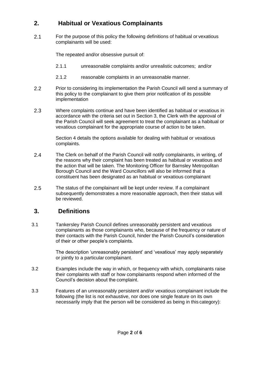## **2. Habitual or Vexatious Complainants**

2.1 For the purpose of this policy the following definitions of habitual or vexatious complainants will be used:

The repeated and/or obsessive pursuit of:

- 2.1.1 unreasonable complaints and/or unrealistic outcomes; and/or
- 2.1.2 reasonable complaints in an unreasonable manner.
- 2.2 Prior to considering its implementation the Parish Council will send a summary of this policy to the complainant to give them prior notification of its possible implementation
- 2.3 Where complaints continue and have been identified as habitual or vexatious in accordance with the criteria set out in Section 3, the Clerk with the approval of the Parish Council will seek agreement to treat the complainant as a habitual or vexatious complainant for the appropriate course of action to be taken.

Section 4 details the options available for dealing with habitual or vexatious complaints.

- 2.4 The Clerk on behalf of the Parish Council will notify complainants, in writing, of the reasons why their complaint has been treated as habitual or vexatious and the action that will be taken. The Monitoring Officer for Barnsley Metropolitan Borough Council and the Ward Councillors will also be informed that a constituent has been designated as an habitual or vexatious complainant
- 2.5 The status of the complainant will be kept under review. If a complainant subsequently demonstrates a more reasonable approach, then their status will be reviewed.

## **3. Definitions**

3.1 Tankersley Parish Council defines unreasonably persistent and vexatious complainants as those complainants who, because of the frequency or nature of their contacts with the Parish Council, hinder the Parish Council's consideration of their or other people's complaints.

> The description 'unreasonably persistent' and 'vexatious' may apply separately or jointly to a particular complainant.

- 3.2 Examples include the way in which, or frequency with which, complainants raise their complaints with staff or how complainants respond when informed of the Council's decision about the complaint.
- 3.3 Features of an unreasonably persistent and/or vexatious complainant include the following (the list is not exhaustive, nor does one single feature on its own necessarily imply that the person will be considered as being in this category):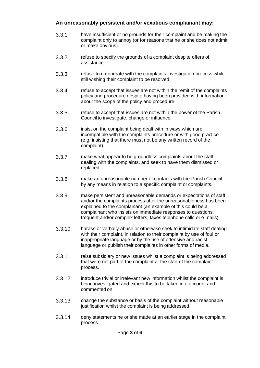#### **An unreasonably persistent and/or vexatious complainant may:**

- 3.3.1 have insufficient or no grounds for their complaint and be making the complaint only to annoy (or for reasons that he or she does not admit or make obvious).
- 3.3.2 refuse to specify the grounds of a complaint despite offers of assistance
- 3.3.3 refuse to co-operate with the complaints investigation process while still wishing their complaint to be resolved.
- 3.3.4 refuse to accept that issues are not within the remit of the complaints policy and procedure despite having been provided with information about the scope of the policy and procedure.
- 3.3.5 refuse to accept that issues are not within the power of the Parish Council to investigate, change or influence
- 3.3.6 insist on the complaint being dealt with in ways which are incompatible with the complaints procedure or with good practice (e.g. insisting that there must not be any written record of the complaint).
- 3.3.7 make what appear to be groundless complaints about the staff dealing with the complaints, and seek to have them dismissed or replaced
- 3.3.8 make an unreasonable number of contacts with the Parish Council, by any means in relation to a specific complaint or complaints.
- 3.3.9 make persistent and unreasonable demands or expectations of staff and/or the complaints process after the unreasonableness has been explained to the complainant (an example of this could be a complainant who insists on immediate responses to questions, frequent and/or complex letters, faxes telephone calls or e-mails).
- 3.3.10 harass or verbally abuse or otherwise seek to intimidate staff dealing with their complaint, in relation to their complaint by use of foul or inappropriate language or by the use of offensive and racist language or publish their complaints in other forms of media.
- 3.3.11 raise subsidiary or new issues whilst a complaint is being addressed that were not part of the complaint at the start of the complaint process.
- 3.3.12 introduce trivial or irrelevant new information whilst the complaint is being investigated and expect this to be taken into account and commented on
- 3.3.13 change the substance or basis of the complaint without reasonable justification whilst the complaint is being addressed.
- 3.3.14 deny statements he or she made at an earlier stage in the complaint process.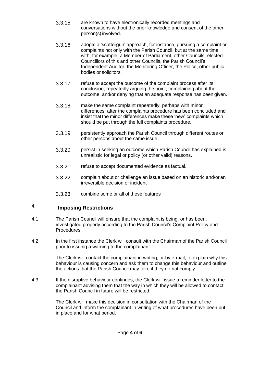- 3.3.15 are known to have electronically recorded meetings and conversations without the prior knowledge and consent of the other person(s) involved.
- 3.3.16 adopts a 'scattergun' approach, for instance, pursuing a complaint or complaints not only with the Parish Council, but at the same time with, for example, a Member of Parliament, other Councils, elected Councillors of this and other Councils, the Parish Council's Independent Auditor, the Monitoring Officer, the Police, other public bodies or solicitors.
- 3.3.17 refuse to accept the outcome of the complaint process after its conclusion, repeatedly arguing the point, complaining about the outcome, and/or denying that an adequate response has been given.
- 3.3.18 make the same complaint repeatedly, perhaps with minor differences, after the complaints procedure has been concluded and insist that the minor differences make these 'new' complaints which should be put through the full complaints procedure.
- 3.3.19 persistently approach the Parish Council through different routes or other persons about the same issue.
- 3.3.20 persist in seeking an outcome which Parish Council has explained is unrealistic for legal or policy (or other valid) reasons.
- 3.3.21 refuse to accept documented evidence as factual.
- 3.3.22 complain about or challenge an issue based on an historic and/or an irreversible decision or incident
- 3.3.23 combine some or all of these features

## 4. **Imposing Restrictions**

- 4.1 The Parish Council will ensure that the complaint is being, or has been, investigated properly according to the Parish Council's Complaint Policy and Procedures.
- 4.2 In the first instance the Clerk will consult with the Chairman of the Parish Council prior to issuing a warning to the complainant.

The Clerk will contact the complainant in writing, or by e-mail, to explain why this behaviour is causing concern and ask them to change this behaviour and outline the actions that the Parish Council may take if they do not comply.

4.3 If the disruptive behaviour continues, the Clerk will issue a reminder letter to the complainant advising them that the way in which they will be allowed to contact the Parish Council in future will be restricted.

> The Clerk will make this decision in consultation with the Chairman of the Council and inform the complainant in writing of what procedures have been put in place and for what period.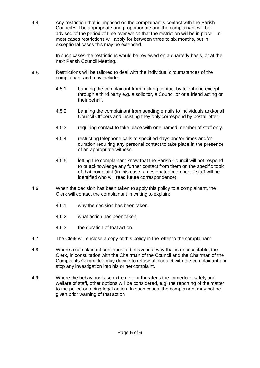4.4 Any restriction that is imposed on the complainant's contact with the Parish Council will be appropriate and proportionate and the complainant will be advised of the period of time over which that the restriction will be in place. In most cases restrictions will apply for between three to six months, but in exceptional cases this may be extended.

> In such cases the restrictions would be reviewed on a quarterly basis, or at the next Parish Council Meeting.

- 4.5 Restrictions will be tailored to deal with the individual circumstances of the complainant and may include:
	- 4.5.1 banning the complainant from making contact by telephone except through a third party e.g. a solicitor, a Councillor or a friend acting on their behalf.
	- 4.5.2 banning the complainant from sending emails to individuals and/or all Council Officers and insisting they only correspond by postal letter.
	- 4.5.3 requiring contact to take place with one named member of staff only.
	- 4.5.4 restricting telephone calls to specified days and/or times and/or duration requiring any personal contact to take place in the presence of an appropriate witness.
	- 4.5.5 letting the complainant know that the Parish Council will not respond to or acknowledge any further contact from them on the specific topic of that complaint (in this case, a designated member of staff will be identifiedwho will read future correspondence).
- 4.6 When the decision has been taken to apply this policy to a complainant, the Clerk will contact the complainant in writing to explain:
	- 4.6.1 why the decision has been taken.
	- 4.6.2 what action has been taken.
	- 4.6.3 the duration of that action.
- 4.7 The Clerk will enclose a copy of this policy in the letter to the complainant
- 4.8 Where a complainant continues to behave in a way that is unacceptable, the Clerk, in consultation with the Chairman of the Council and the Chairman of the Complaints Committee may decide to refuse all contact with the complainant and stop any investigation into his or her complaint.
- 4.9 Where the behaviour is so extreme or it threatens the immediate safety and welfare of staff, other options will be considered, e.g. the reporting of the matter to the police or taking legal action. In such cases, the complainant may not be given prior warning of that action